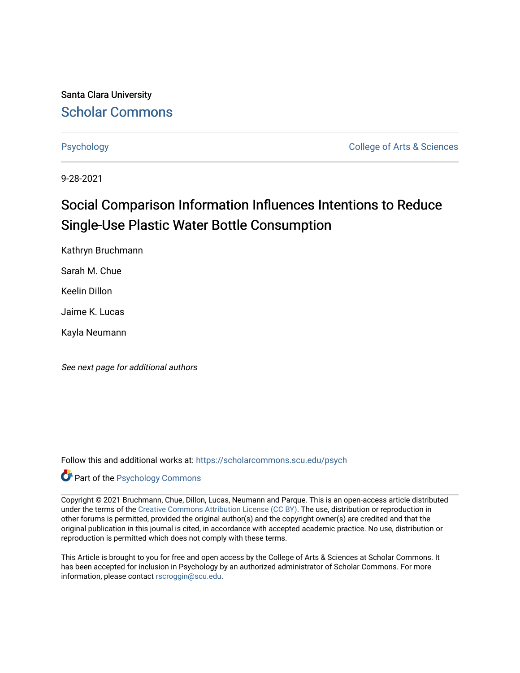Santa Clara University [Scholar Commons](https://scholarcommons.scu.edu/) 

[Psychology](https://scholarcommons.scu.edu/psych) **College of Arts & Sciences** 

9-28-2021

# Social Comparison Information Influences Intentions to Reduce Single-Use Plastic Water Bottle Consumption

Kathryn Bruchmann

Sarah M. Chue

Keelin Dillon

Jaime K. Lucas

Kayla Neumann

See next page for additional authors

Follow this and additional works at: [https://scholarcommons.scu.edu/psych](https://scholarcommons.scu.edu/psych?utm_source=scholarcommons.scu.edu%2Fpsych%2F346&utm_medium=PDF&utm_campaign=PDFCoverPages) 

# Part of the [Psychology Commons](http://network.bepress.com/hgg/discipline/404?utm_source=scholarcommons.scu.edu%2Fpsych%2F346&utm_medium=PDF&utm_campaign=PDFCoverPages)

Copyright © 2021 Bruchmann, Chue, Dillon, Lucas, Neumann and Parque. This is an open-access article distributed under the terms of the [Creative Commons Attribution License \(CC BY\).](http://creativecommons.org/licenses/by/4.0/) The use, distribution or reproduction in other forums is permitted, provided the original author(s) and the copyright owner(s) are credited and that the original publication in this journal is cited, in accordance with accepted academic practice. No use, distribution or reproduction is permitted which does not comply with these terms.

This Article is brought to you for free and open access by the College of Arts & Sciences at Scholar Commons. It has been accepted for inclusion in Psychology by an authorized administrator of Scholar Commons. For more information, please contact [rscroggin@scu.edu.](mailto:rscroggin@scu.edu)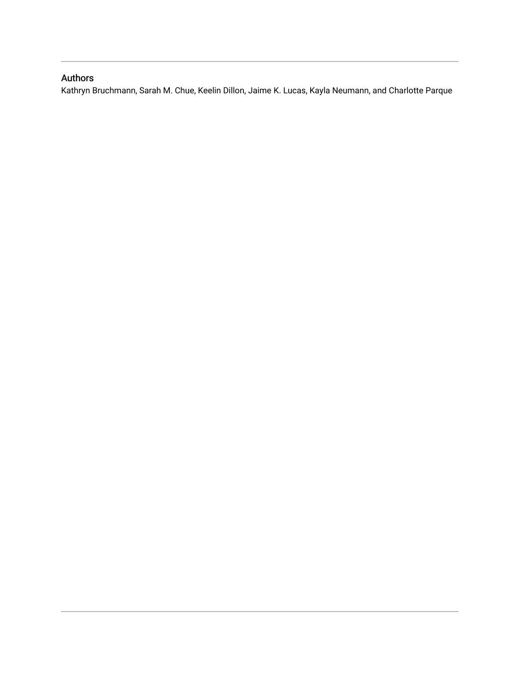# Authors

Kathryn Bruchmann, Sarah M. Chue, Keelin Dillon, Jaime K. Lucas, Kayla Neumann, and Charlotte Parque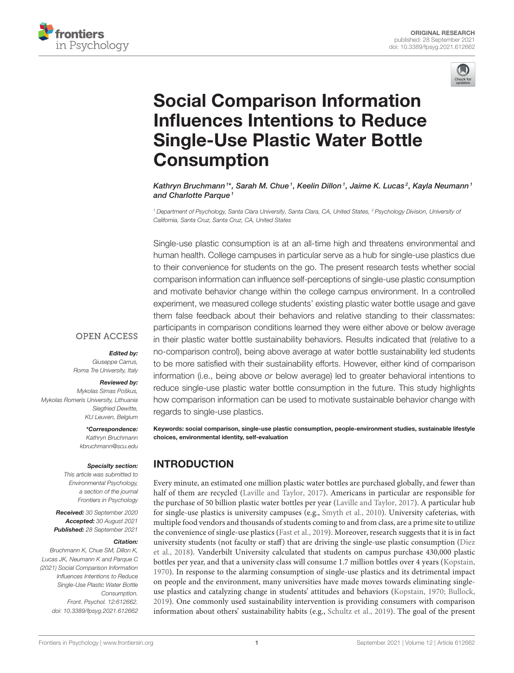



# Social Comparison Information [Influences Intentions to Reduce](https://www.frontiersin.org/articles/10.3389/fpsyg.2021.612662/full) Single-Use Plastic Water Bottle **Consumption**

Kathryn Bruchmann 1\*, Sarah M. Chue <sup>1</sup>, Keelin Dillon <sup>1</sup>, Jaime K. Lucas <sup>2</sup>, Kayla Neumann 1 and Charlotte Parque<sup>1</sup>

<sup>1</sup> Department of Psychology, Santa Clara University, Santa Clara, CA, United States, <sup>2</sup> Psychology Division, University of California, Santa Cruz, Santa Cruz, CA, United States

Single-use plastic consumption is at an all-time high and threatens environmental and human health. College campuses in particular serve as a hub for single-use plastics due to their convenience for students on the go. The present research tests whether social comparison information can influence self-perceptions of single-use plastic consumption and motivate behavior change within the college campus environment. In a controlled experiment, we measured college students' existing plastic water bottle usage and gave them false feedback about their behaviors and relative standing to their classmates: participants in comparison conditions learned they were either above or below average in their plastic water bottle sustainability behaviors. Results indicated that (relative to a no-comparison control), being above average at water bottle sustainability led students to be more satisfied with their sustainability efforts. However, either kind of comparison information (i.e., being above or below average) led to greater behavioral intentions to reduce single-use plastic water bottle consumption in the future. This study highlights how comparison information can be used to motivate sustainable behavior change with regards to single-use plastics.

Keywords: social comparison, single-use plastic consumption, people-environment studies, sustainable lifestyle choices, environmental identity, self-evaluation

# INTRODUCTION

Every minute, an estimated one million plastic water bottles are purchased globally, and fewer than half of them are recycled [\(Laville and Taylor, 2017\)](#page-7-0). Americans in particular are responsible for the purchase of 50 billion plastic water bottles per year [\(Laville and Taylor, 2017\)](#page-7-0). A particular hub for single-use plastics is university campuses (e.g., [Smyth et al., 2010\)](#page-7-1). University cafeterias, with multiple food vendors and thousands of students coming to and from class, are a prime site to utilize the convenience of single-use plastics [\(Fast et al., 2019\)](#page-7-2). Moreover, research suggests that it is in fact university students (not faculty or staff) that are driving the single-use plastic consumption (Diez et al., [2018\)](#page-7-3). Vanderbilt University calculated that students on campus purchase 430,000 plastic bottles per year, and that a university class will consume 1.7 million bottles over 4 years [\(Kopstain,](#page-7-4) [1970\)](#page-7-4). In response to the alarming consumption of single-use plastics and its detrimental impact on people and the environment, many universities have made moves towards eliminating singleuse plastics and catalyzing change in students' attitudes and behaviors [\(Kopstain, 1970;](#page-7-4) [Bullock,](#page-7-5) [2019\)](#page-7-5). One commonly used sustainability intervention is providing consumers with comparison information about others' sustainability habits (e.g., [Schultz et al., 2019\)](#page-7-6). The goal of the present

**OPEN ACCESS** 

#### Edited by:

Giuseppe Carrus, Roma Tre University, Italy

#### Reviewed by:

Mykolas Simas Poškus, Mykolas Romeris University, Lithuania Siegfried Dewitte, KU Leuven, Belgium

> \*Correspondence: Kathryn Bruchmann [kbruchmann@scu.edu](mailto:kbruchmann@scu.edu)

#### Specialty section:

This article was submitted to Environmental Psychology, a section of the journal Frontiers in Psychology

Received: 30 September 2020 Accepted: 30 August 2021 Published: 28 September 2021

#### Citation:

Bruchmann K, Chue SM, Dillon K, Lucas JK, Neumann K and Parque C (2021) Social Comparison Information Influences Intentions to Reduce Single-Use Plastic Water Bottle Consumption. Front. Psychol. 12:612662. doi: [10.3389/fpsyg.2021.612662](https://doi.org/10.3389/fpsyg.2021.612662)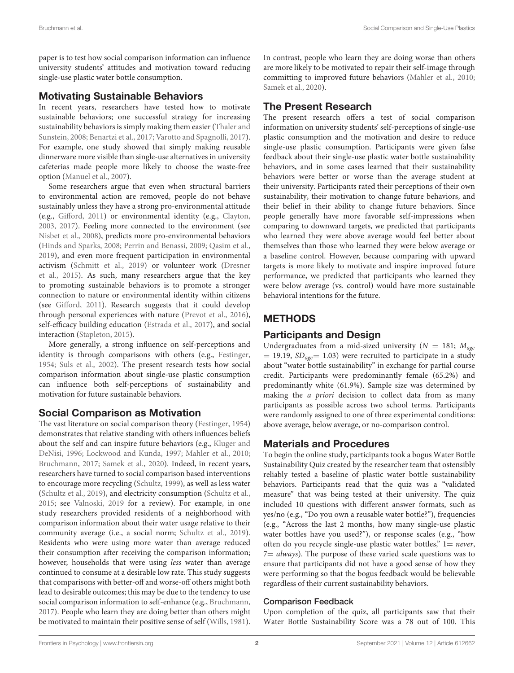paper is to test how social comparison information can influence university students' attitudes and motivation toward reducing single-use plastic water bottle consumption.

#### Motivating Sustainable Behaviors

In recent years, researchers have tested how to motivate sustainable behaviors; one successful strategy for increasing sustainability behaviors is simply making them easier (Thaler and Sunstein, [2008;](#page-7-7) [Benartzi et al., 2017;](#page-7-8) [Varotto and Spagnolli, 2017\)](#page-8-0). For example, one study showed that simply making reusable dinnerware more visible than single-use alternatives in university cafeterias made people more likely to choose the waste-free option [\(Manuel et al., 2007\)](#page-7-9).

Some researchers argue that even when structural barriers to environmental action are removed, people do not behave sustainably unless they have a strong pro-environmental attitude (e.g., [Gifford, 2011\)](#page-7-10) or environmental identity (e.g., [Clayton,](#page-7-11) [2003,](#page-7-11) [2017\)](#page-7-12). Feeling more connected to the environment (see [Nisbet et al., 2008\)](#page-7-13), predicts more pro-environmental behaviors [\(Hinds and Sparks, 2008;](#page-7-14) [Perrin and Benassi, 2009;](#page-7-15) [Qasim et al.,](#page-7-16) [2019\)](#page-7-16), and even more frequent participation in environmental activism [\(Schmitt et al., 2019\)](#page-7-17) or volunteer work (Dresner et al., [2015\)](#page-7-18). As such, many researchers argue that the key to promoting sustainable behaviors is to promote a stronger connection to nature or environmental identity within citizens (see [Gifford, 2011\)](#page-7-10). Research suggests that it could develop through personal experiences with nature [\(Prevot et al., 2016\)](#page-7-19), self-efficacy building education [\(Estrada et al., 2017\)](#page-7-20), and social interaction [\(Stapleton, 2015\)](#page-7-21).

More generally, a strong influence on self-perceptions and identity is through comparisons with others (e.g., [Festinger,](#page-7-22) [1954;](#page-7-22) [Suls et al., 2002\)](#page-7-23). The present research tests how social comparison information about single-use plastic consumption can influence both self-perceptions of sustainability and motivation for future sustainable behaviors.

# Social Comparison as Motivation

The vast literature on social comparison theory [\(Festinger, 1954\)](#page-7-22) demonstrates that relative standing with others influences beliefs about the self and can inspire future behaviors (e.g., Kluger and DeNisi, [1996;](#page-7-24) [Lockwood and Kunda, 1997;](#page-7-25) [Mahler et al., 2010;](#page-7-26) [Bruchmann, 2017;](#page-7-27) [Samek et al., 2020\)](#page-7-28). Indeed, in recent years, researchers have turned to social comparison based interventions to encourage more recycling [\(Schultz, 1999\)](#page-7-29), as well as less water [\(Schultz et al., 2019\)](#page-7-6), and electricity consumption [\(Schultz et al.,](#page-7-30) [2015;](#page-7-30) see [Valnoski, 2019](#page-7-31) for a review). For example, in one study researchers provided residents of a neighborhood with comparison information about their water usage relative to their community average (i.e., a social norm; [Schultz et al., 2019\)](#page-7-6). Residents who were using more water than average reduced their consumption after receiving the comparison information; however, households that were using less water than average continued to consume at a desirable low rate. This study suggests that comparisons with better-off and worse-off others might both lead to desirable outcomes; this may be due to the tendency to use social comparison information to self-enhance (e.g., [Bruchmann,](#page-7-27) [2017\)](#page-7-27). People who learn they are doing better than others might be motivated to maintain their positive sense of self [\(Wills, 1981\)](#page-8-1). In contrast, people who learn they are doing worse than others are more likely to be motivated to repair their self-image through committing to improved future behaviors [\(Mahler et al., 2010;](#page-7-26) [Samek et al., 2020\)](#page-7-28).

# The Present Research

The present research offers a test of social comparison information on university students' self-perceptions of single-use plastic consumption and the motivation and desire to reduce single-use plastic consumption. Participants were given false feedback about their single-use plastic water bottle sustainability behaviors, and in some cases learned that their sustainability behaviors were better or worse than the average student at their university. Participants rated their perceptions of their own sustainability, their motivation to change future behaviors, and their belief in their ability to change future behaviors. Since people generally have more favorable self-impressions when comparing to downward targets, we predicted that participants who learned they were above average would feel better about themselves than those who learned they were below average or a baseline control. However, because comparing with upward targets is more likely to motivate and inspire improved future performance, we predicted that participants who learned they were below average (vs. control) would have more sustainable behavioral intentions for the future.

# METHODS

#### Participants and Design

Undergraduates from a mid-sized university ( $N = 181$ ;  $M_{\text{age}}$ )  $= 19.19$ ,  $SD_{age} = 1.03$ ) were recruited to participate in a study about "water bottle sustainability" in exchange for partial course credit. Participants were predominantly female (65.2%) and predominantly white (61.9%). Sample size was determined by making the a priori decision to collect data from as many participants as possible across two school terms. Participants were randomly assigned to one of three experimental conditions: above average, below average, or no-comparison control.

# Materials and Procedures

To begin the online study, participants took a bogus Water Bottle Sustainability Quiz created by the researcher team that ostensibly reliably tested a baseline of plastic water bottle sustainability behaviors. Participants read that the quiz was a "validated measure" that was being tested at their university. The quiz included 10 questions with different answer formats, such as yes/no (e.g., "Do you own a reusable water bottle?"), frequencies (e.g., "Across the last 2 months, how many single-use plastic water bottles have you used?"), or response scales (e.g., "how often do you recycle single-use plastic water bottles,"  $l = never$ ,  $7=$  always). The purpose of these varied scale questions was to ensure that participants did not have a good sense of how they were performing so that the bogus feedback would be believable regardless of their current sustainability behaviors.

#### Comparison Feedback

Upon completion of the quiz, all participants saw that their Water Bottle Sustainability Score was a 78 out of 100. This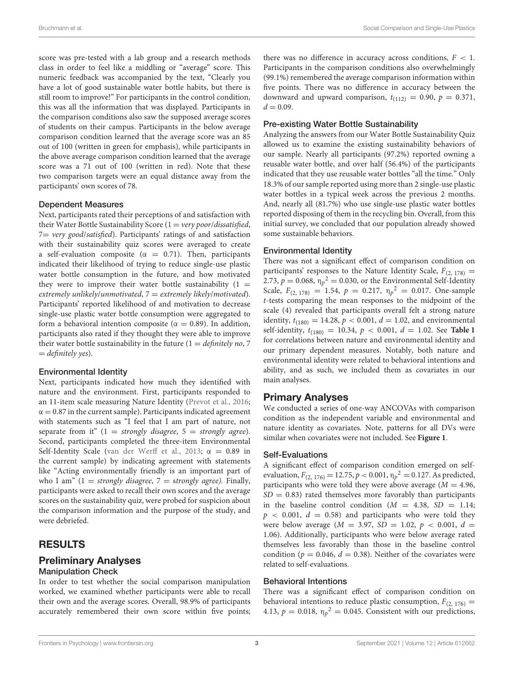score was pre-tested with a lab group and a research methods class in order to feel like a middling or "average" score. This numeric feedback was accompanied by the text, "Clearly you have a lot of good sustainable water bottle habits, but there is still room to improve!" For participants in the control condition, this was all the information that was displayed. Participants in the comparison conditions also saw the supposed average scores of students on their campus. Participants in the below average comparison condition learned that the average score was an 85 out of 100 (written in green for emphasis), while participants in the above average comparison condition learned that the average score was a 71 out of 100 (written in red). Note that these two comparison targets were an equal distance away from the participants' own scores of 78.

#### Dependent Measures

Next, participants rated their perceptions of and satisfaction with their Water Bottle Sustainability Score  $(1 = \text{very poor/dissatisfied},$ 7= very good/satisfied). Participants' ratings of and satisfaction with their sustainability quiz scores were averaged to create a self-evaluation composite ( $\alpha = 0.71$ ). Then, participants indicated their likelihood of trying to reduce single-use plastic water bottle consumption in the future, and how motivated they were to improve their water bottle sustainability  $(1 =$ extremely unlikely/unmotivated,  $7 =$  extremely likely/motivated). Participants' reported likelihood of and motivation to decrease single-use plastic water bottle consumption were aggregated to form a behavioral intention composite ( $\alpha = 0.89$ ). In addition, participants also rated if they thought they were able to improve their water bottle sustainability in the future  $(1 = \text{definitely no}, 7)$  $=$  definitely yes).

#### Environmental Identity

Next, participants indicated how much they identified with nature and the environment. First, participants responded to an 11-item scale measuring Nature Identity [\(Prevot et al., 2016;](#page-7-19)  $\alpha = 0.87$  in the current sample). Participants indicated agreement with statements such as "I feel that I am part of nature, not separate from it"  $(1 = strongly disagree, 5 = strongly agree).$ Second, participants completed the three-item Environmental Self-Identity Scale [\(van der Werff et al., 2013;](#page-8-2)  $\alpha = 0.89$  in the current sample) by indicating agreement with statements like "Acting environmentally friendly is an important part of who I am" (1 = strongly disagree, 7 = strongly agree). Finally, participants were asked to recall their own scores and the average scores on the sustainability quiz, were probed for suspicion about the comparison information and the purpose of the study, and were debriefed.

# RESULTS

# Preliminary Analyses

#### Manipulation Check

In order to test whether the social comparison manipulation worked, we examined whether participants were able to recall their own and the average scores. Overall, 98.9% of participants accurately remembered their own score within five points; there was no difference in accuracy across conditions,  $F < 1$ . Participants in the comparison conditions also overwhelmingly (99.1%) remembered the average comparison information within five points. There was no difference in accuracy between the downward and upward comparison,  $t_{(112)} = 0.90$ ,  $p = 0.371$ ,  $d = 0.09$ .

#### Pre-existing Water Bottle Sustainability

Analyzing the answers from our Water Bottle Sustainability Quiz allowed us to examine the existing sustainability behaviors of our sample. Nearly all participants (97.2%) reported owning a reusable water bottle, and over half (56.4%) of the participants indicated that they use reusable water bottles "all the time." Only 18.3% of our sample reported using more than 2 single-use plastic water bottles in a typical week across the previous 2 months. And, nearly all (81.7%) who use single-use plastic water bottles reported disposing of them in the recycling bin. Overall, from this initial survey, we concluded that our population already showed some sustainable behaviors.

#### Environmental Identity

There was not a significant effect of comparison condition on participants' responses to the Nature Identity Scale,  $F_{(2, 178)} =$ 2.73,  $p = 0.068$ ,  $\eta_p^2 = 0.030$ , or the Environmental Self-Identity Scale,  $F_{(2, 178)} = 1.54$ ,  $p = 0.217$ ,  $\eta_p^2 = 0.017$ . One-sample t-tests comparing the mean responses to the midpoint of the scale (4) revealed that participants overall felt a strong nature identity,  $t_{(180)} = 14.28$ ,  $p < 0.001$ ,  $d = 1.02$ , and environmental self-identity,  $t_{(180)} = 10.34$ ,  $p < 0.001$ ,  $d = 1.02$ . See [Table 1](#page-5-0) for correlations between nature and environmental identity and our primary dependent measures. Notably, both nature and environmental identity were related to behavioral intentions and ability, and as such, we included them as covariates in our main analyses.

#### Primary Analyses

We conducted a series of one-way ANCOVAs with comparison condition as the independent variable and environmental and nature identity as covariates. Note, patterns for all DVs were similar when covariates were not included. See **[Figure 1](#page-5-1)**.

#### Self-Evaluations

A significant effect of comparison condition emerged on selfevaluation,  $F_{(2, 176)} = 12.75$ ,  $p < 0.001$ ,  $\eta_p^2 = 0.127$ . As predicted, participants who were told they were above average  $(M = 4.96,$  $SD = 0.83$ ) rated themselves more favorably than participants in the baseline control condition ( $M = 4.38$ ,  $SD = 1.14$ ;  $p \approx 0.001, d = 0.58$  and participants who were told they were below average ( $M = 3.97$ ,  $SD = 1.02$ ,  $p < 0.001$ ,  $d =$ 1.06). Additionally, participants who were below average rated themselves less favorably than those in the baseline control condition ( $p = 0.046$ ,  $d = 0.38$ ). Neither of the covariates were related to self-evaluations.

#### Behavioral Intentions

There was a significant effect of comparison condition on behavioral intentions to reduce plastic consumption,  $F_{(2, 176)} =$ 4.13,  $p = 0.018$ ,  $\eta_p^2 = 0.045$ . Consistent with our predictions,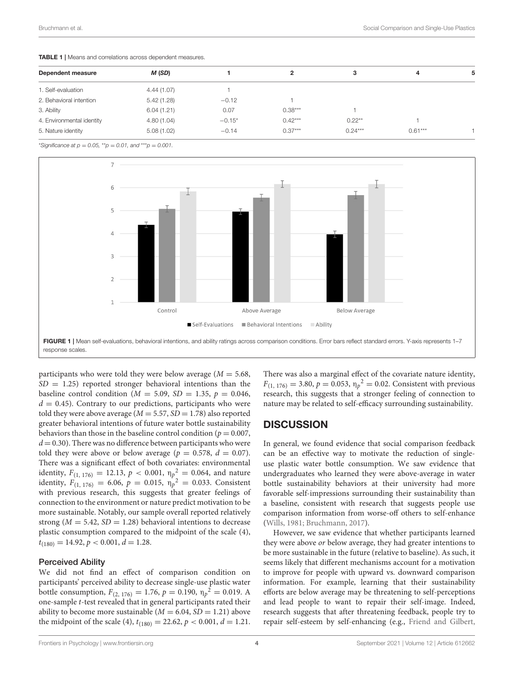| Dependent measure         | M (SD)     |          |           | з         | 4         |  |
|---------------------------|------------|----------|-----------|-----------|-----------|--|
| 1. Self-evaluation        | 4.44(1.07) |          |           |           |           |  |
| 2. Behavioral intention   | 5.42(1.28) | $-0.12$  |           |           |           |  |
| 3. Ability                | 6.04(1.21) | 0.07     | $0.38***$ |           |           |  |
| 4. Environmental identity | 4.80(1.04) | $-0.15*$ | $0.42***$ | $0.22***$ |           |  |
| 5. Nature identity        | 5.08(1.02) | $-0.14$  | $0.37***$ | $0.24***$ | $0.61***$ |  |
|                           |            |          |           |           |           |  |

<span id="page-5-0"></span>TABLE 1 | Means and correlations across dependent measures.

\*Significance at  $p = 0.05$ , \*\* $p = 0.01$ , and \*\*\* $p = 0.001$ .



<span id="page-5-1"></span>participants who were told they were below average  $(M = 5.68,$  $SD = 1.25$ ) reported stronger behavioral intentions than the baseline control condition ( $M = 5.09$ ,  $SD = 1.35$ ,  $p = 0.046$ ,  $d = 0.45$ ). Contrary to our predictions, participants who were told they were above average ( $M = 5.57$ ,  $SD = 1.78$ ) also reported greater behavioral intentions of future water bottle sustainability behaviors than those in the baseline control condition ( $p = 0.007$ ,  $d = 0.30$ ). There was no difference between participants who were told they were above or below average ( $p = 0.578$ ,  $d = 0.07$ ). There was a significant effect of both covariates: environmental identity,  $F_{(1, 176)} = 12.13$ ,  $p < 0.001$ ,  $\eta_p^2 = 0.064$ , and nature identity,  $F_{(1, 176)} = 6.06$ ,  $p = 0.015$ ,  $\eta_p^2 = 0.033$ . Consistent with previous research, this suggests that greater feelings of connection to the environment or nature predict motivation to be more sustainable. Notably, our sample overall reported relatively strong ( $M = 5.42$ ,  $SD = 1.28$ ) behavioral intentions to decrease plastic consumption compared to the midpoint of the scale (4),  $t_{(180)} = 14.92, p < 0.001, d = 1.28.$ 

#### Perceived Ability

We did not find an effect of comparison condition on participants' perceived ability to decrease single-use plastic water bottle consumption,  $F_{(2, 176)} = 1.76$ ,  $p = 0.190$ ,  $\eta_p^2 = 0.019$ . A one-sample t-test revealed that in general participants rated their ability to become more sustainable  $(M = 6.04, SD = 1.21)$  above the midpoint of the scale (4),  $t_{(180)} = 22.62$ ,  $p < 0.001$ ,  $d = 1.21$ . There was also a marginal effect of the covariate nature identity,  $F_{(1, 176)} = 3.80, p = 0.053, \eta_p^2 = 0.02$ . Consistent with previous research, this suggests that a stronger feeling of connection to nature may be related to self-efficacy surrounding sustainability.

#### **DISCUSSION**

In general, we found evidence that social comparison feedback can be an effective way to motivate the reduction of singleuse plastic water bottle consumption. We saw evidence that undergraduates who learned they were above-average in water bottle sustainability behaviors at their university had more favorable self-impressions surrounding their sustainability than a baseline, consistent with research that suggests people use comparison information from worse-off others to self-enhance [\(Wills, 1981;](#page-8-1) [Bruchmann, 2017\)](#page-7-27).

However, we saw evidence that whether participants learned they were above or below average, they had greater intentions to be more sustainable in the future (relative to baseline). As such, it seems likely that different mechanisms account for a motivation to improve for people with upward vs. downward comparison information. For example, learning that their sustainability efforts are below average may be threatening to self-perceptions and lead people to want to repair their self-image. Indeed, research suggests that after threatening feedback, people try to repair self-esteem by self-enhancing (e.g., [Friend and Gilbert,](#page-7-32)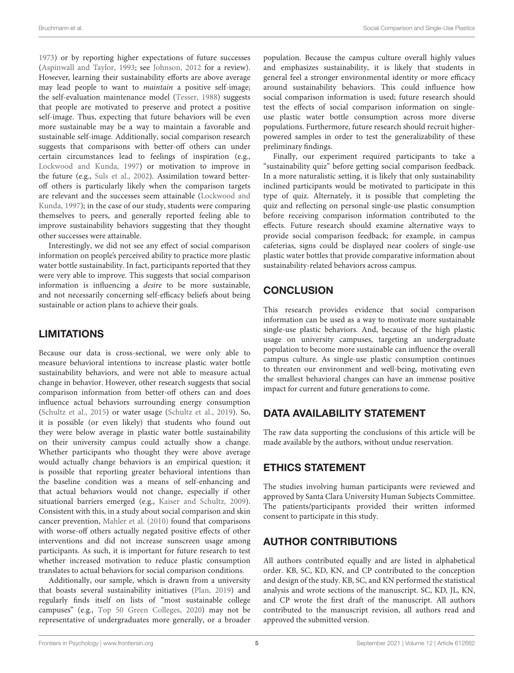[1973\)](#page-7-32) or by reporting higher expectations of future successes [\(Aspinwall and Taylor, 1993;](#page-7-33) see [Johnson, 2012](#page-7-34) for a review). However, learning their sustainability efforts are above average may lead people to want to maintain a positive self-image; the self-evaluation maintenance model [\(Tesser, 1988\)](#page-7-35) suggests that people are motivated to preserve and protect a positive self-image. Thus, expecting that future behaviors will be even more sustainable may be a way to maintain a favorable and sustainable self-image. Additionally, social comparison research suggests that comparisons with better-off others can under certain circumstances lead to feelings of inspiration (e.g., [Lockwood and Kunda, 1997\)](#page-7-25) or motivation to improve in the future (e.g., [Suls et al., 2002\)](#page-7-23). Assimilation toward betteroff others is particularly likely when the comparison targets are relevant and the successes seem attainable (Lockwood and Kunda, [1997\)](#page-7-25); in the case of our study, students were comparing themselves to peers, and generally reported feeling able to improve sustainability behaviors suggesting that they thought other successes were attainable.

Interestingly, we did not see any effect of social comparison information on people's perceived ability to practice more plastic water bottle sustainability. In fact, participants reported that they were very able to improve. This suggests that social comparison information is influencing a desire to be more sustainable, and not necessarily concerning self-efficacy beliefs about being sustainable or action plans to achieve their goals.

# LIMITATIONS

Because our data is cross-sectional, we were only able to measure behavioral intentions to increase plastic water bottle sustainability behaviors, and were not able to measure actual change in behavior. However, other research suggests that social comparison information from better-off others can and does influence actual behaviors surrounding energy consumption [\(Schultz et al., 2015\)](#page-7-30) or water usage [\(Schultz et al., 2019\)](#page-7-6). So, it is possible (or even likely) that students who found out they were below average in plastic water bottle sustainability on their university campus could actually show a change. Whether participants who thought they were above average would actually change behaviors is an empirical question; it is possible that reporting greater behavioral intentions than the baseline condition was a means of self-enhancing and that actual behaviors would not change, especially if other situational barriers emerged (e.g., [Kaiser and Schultz, 2009\)](#page-7-36). Consistent with this, in a study about social comparison and skin cancer prevention, [Mahler et al. \(2010\)](#page-7-26) found that comparisons with worse-off others actually negated positive effects of other interventions and did not increase sunscreen usage among participants. As such, it is important for future research to test whether increased motivation to reduce plastic consumption translates to actual behaviors for social comparison conditions.

Additionally, our sample, which is drawn from a university that boasts several sustainability initiatives [\(Plan, 2019\)](#page-7-37) and regularly finds itself on lists of "most sustainable college campuses" (e.g., [Top 50 Green Colleges, 2020\)](#page-7-38) may not be representative of undergraduates more generally, or a broader population. Because the campus culture overall highly values and emphasizes sustainability, it is likely that students in general feel a stronger environmental identity or more efficacy around sustainability behaviors. This could influence how social comparison information is used; future research should test the effects of social comparison information on singleuse plastic water bottle consumption across more diverse populations. Furthermore, future research should recruit higherpowered samples in order to test the generalizability of these preliminary findings.

Finally, our experiment required participants to take a "sustainability quiz" before getting social comparison feedback. In a more naturalistic setting, it is likely that only sustainability inclined participants would be motivated to participate in this type of quiz. Alternately, it is possible that completing the quiz and reflecting on personal single-use plastic consumption before receiving comparison information contributed to the effects. Future research should examine alternative ways to provide social comparison feedback; for example, in campus cafeterias, signs could be displayed near coolers of single-use plastic water bottles that provide comparative information about sustainability-related behaviors across campus.

# **CONCLUSION**

This research provides evidence that social comparison information can be used as a way to motivate more sustainable single-use plastic behaviors. And, because of the high plastic usage on university campuses, targeting an undergraduate population to become more sustainable can influence the overall campus culture. As single-use plastic consumption continues to threaten our environment and well-being, motivating even the smallest behavioral changes can have an immense positive impact for current and future generations to come.

# DATA AVAILABILITY STATEMENT

The raw data supporting the conclusions of this article will be made available by the authors, without undue reservation.

# ETHICS STATEMENT

The studies involving human participants were reviewed and approved by Santa Clara University Human Subjects Committee. The patients/participants provided their written informed consent to participate in this study.

# AUTHOR CONTRIBUTIONS

All authors contributed equally and are listed in alphabetical order. KB, SC, KD, KN, and CP contributed to the conception and design of the study. KB, SC, and KN performed the statistical analysis and wrote sections of the manuscript. SC, KD, JL, KN, and CP wrote the first draft of the manuscript. All authors contributed to the manuscript revision, all authors read and approved the submitted version.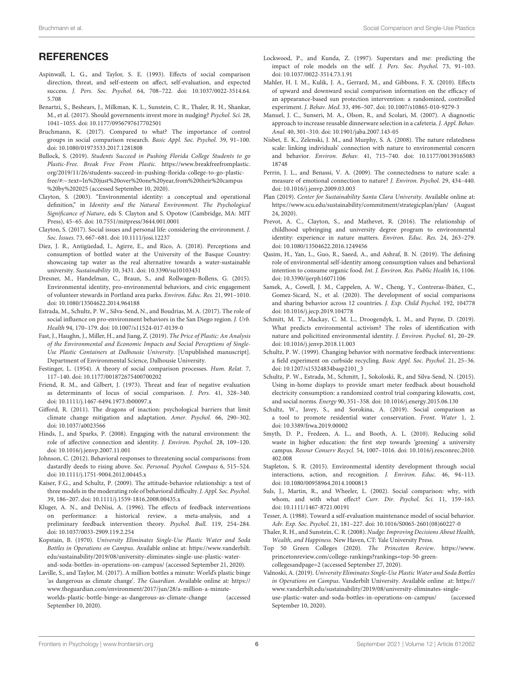# **REFERENCES**

- <span id="page-7-33"></span>Aspinwall, L. G., and Taylor, S. E. (1993). Effects of social comparison direction, threat, and self-esteem on affect, self-evaluation, and expected success. J. Pers. Soc. Psychol. [64, 708–722. doi: 10.1037/0022-3514.64.](https://doi.org/10.1037/0022-3514.64.5.708) 5.708
- <span id="page-7-8"></span>Benartzi, S., Beshears, J., Milkman, K. L., Sunstein, C. R., Thaler, R. H., Shankar, M., et al. (2017). Should governments invest more in nudging? Psychol. Sci. 28, 1041–1055. doi: [10.1177/0956797617702501](https://doi.org/10.1177/0956797617702501)
- <span id="page-7-27"></span>Bruchmann, K. (2017). Compared to what? The importance of control groups in social comparison research. Basic Appl. Soc. Psychol. 39, 91–100. doi: [10.1080/01973533.2017.1281808](https://doi.org/10.1080/01973533.2017.1281808)
- <span id="page-7-5"></span>Bullock, S. (2019). Students Succeed in Pushing Florida College Students to go Plastic-Free. Break Free From Plastic. [https://www.breakfreefromplastic.](https://www.breakfreefromplastic.org/2019/11/26/students-succeed-in-pushing-florida-college-to-go-plastic-free/#:~:text=In%20just%20over%20one%20year,from%20their%20campus%20by%202025) [org/2019/11/26/students-succeed-in-pushing-florida-college-to-go-plastic](https://www.breakfreefromplastic.org/2019/11/26/students-succeed-in-pushing-florida-college-to-go-plastic-free/#:~:text=In%20just%20over%20one%20year,from%20their%20campus%20by%202025)[free/#:~:text=In%20just%20over%20one%20year,from%20their%20campus](https://www.breakfreefromplastic.org/2019/11/26/students-succeed-in-pushing-florida-college-to-go-plastic-free/#:~:text=In%20just%20over%20one%20year,from%20their%20campus%20by%202025) [%20by%202025](https://www.breakfreefromplastic.org/2019/11/26/students-succeed-in-pushing-florida-college-to-go-plastic-free/#:~:text=In%20just%20over%20one%20year,from%20their%20campus%20by%202025) (accessed September 10, 2020).
- <span id="page-7-11"></span>Clayton, S. (2003). "Environmental identity: a conceptual and operational definition," in Identity and the Natural Environment. The Psychological Significance of Nature, eds S. Clayton and S. Opotow (Cambridge, MA: MIT Press), 45–65. doi: [10.7551/mitpress/3644.001.0001](https://doi.org/10.7551/mitpress/3644.001.0001)
- <span id="page-7-12"></span>Clayton, S. (2017). Social issues and personal life: considering the environment. J. Soc. Issues. 73, 667–681. doi: [10.1111/josi.12237](https://doi.org/10.1111/josi.12237)
- <span id="page-7-3"></span>Diez, J. R., Antigüedad, I., Agirre, E., and Rico, A. (2018). Perceptions and consumption of bottled water at the University of the Basque Country: showcasing tap water as the real alternative towards a water-sustainable university. Sustainability 10, 3431. doi: [10.3390/su10103431](https://doi.org/10.3390/su10103431)
- <span id="page-7-18"></span>Dresner, M., Handelman, C., Braun, S., and Rollwagen-Bollens, G. (2015). Environmental identity, pro-environmental behaviors, and civic engagement of volunteer stewards in Portland area parks. Environ. Educ. Res. 21, 991–1010. doi: [10.1080/13504622.2014.964188](https://doi.org/10.1080/13504622.2014.964188)
- <span id="page-7-20"></span>Estrada, M., Schultz, P. W., Silva-Send, N., and Boudrias, M. A. (2017). The role of social influence on pro-environment behaviors in the San Diego region. J. Urb. Health 94, 170–179. doi: [10.1007/s11524-017-0139-0](https://doi.org/10.1007/s11524-017-0139-0)
- <span id="page-7-2"></span>Fast, J., Haughn, J., Miller, H., and Jiang, Z. (2019). The Price of Plastic: An Analysis of the Environmental and Economic Impacts and Social Perceptions of Single-Use Plastic Containers at Dalhousie University. [Unpublished manuscript]. Department of Environmental Science, Dalhousie University.
- <span id="page-7-22"></span>Festinger, L. (1954). A theory of social comparison processes. Hum. Relat. 7, 117–140. doi: [10.1177/001872675400700202](https://doi.org/10.1177/001872675400700202)
- <span id="page-7-32"></span>Friend, R. M., and Gilbert, J. (1973). Threat and fear of negative evaluation as determinants of locus of social comparison. J. Pers. 41, 328–340. doi: [10.1111/j.1467-6494.1973.tb00097.x](https://doi.org/10.1111/j.1467-6494.1973.tb00097.x)
- <span id="page-7-10"></span>Gifford, R. (2011). The dragons of inaction: psychological barriers that limit climate change mitigation and adaptation. Amer. Psychol. 66, 290–302. doi: [10.1037/a0023566](https://doi.org/10.1037/a0023566)
- <span id="page-7-14"></span>Hinds, J., and Sparks, P. (2008). Engaging with the natural environment: the role of affective connection and identity. J. Environ. Psychol. 28, 109–120. doi: [10.1016/j.jenvp.2007.11.001](https://doi.org/10.1016/j.jenvp.2007.11.001)
- <span id="page-7-34"></span>Johnson, C. (2012). Behavioral responses to threatening social comparisons: from dastardly deeds to rising above. Soc. Personal. Psychol. Compass 6, 515–524. doi: [10.1111/j.1751-9004.2012.00445.x](https://doi.org/10.1111/j.1751-9004.2012.00445.x)
- <span id="page-7-36"></span>Kaiser, F.G., and Schultz, P. (2009). The attitude-behavior relationship: a test of three models in the moderating role of behavioral difficulty. J. Appl. Soc. Psychol. 39, 186–207. doi: [10.1111/j.1559-1816.2008.00435.x](https://doi.org/10.1111/j.1559-1816.2008.00435.x)
- <span id="page-7-24"></span>Kluger, A. N., and DeNisi, A. (1996). The effects of feedback interventions on performance: a historical review, a meta-analysis, and a preliminary feedback intervention theory. Psychol. Bull. 119, 254–284. doi: [10.1037/0033-2909.119.2.254](https://doi.org/10.1037/0033-2909.119.2.254)
- <span id="page-7-4"></span>Kopstain, B. (1970). University Eliminates Single-Use Plastic Water and Soda Bottles in Operations on Campus. Available online at: [https://www.vanderbilt.](https://www.vanderbilt.edu/sustainability/2019/08/university-eliminates-single-use-plastic-water-and-soda-bottles-in-operations-on-campus/) [edu/sustainability/2019/08/university-eliminates-single-use-plastic-water](https://www.vanderbilt.edu/sustainability/2019/08/university-eliminates-single-use-plastic-water-and-soda-bottles-in-operations-on-campus/)[and-soda-bottles-in-operations-on-campus/](https://www.vanderbilt.edu/sustainability/2019/08/university-eliminates-single-use-plastic-water-and-soda-bottles-in-operations-on-campus/) (accessed September 21, 2020).
- <span id="page-7-0"></span>Laville, S., and Taylor, M. (2017). A million bottles a minute: World's plastic binge 'as dangerous as climate change'. The Guardian. Available online at: [https://](https://www.theguardian.com/environment/2017/jun/28/a-million-a-minute-worlds-plastic-bottle-binge-as-dangerous-as-climate-change) [www.theguardian.com/environment/2017/jun/28/a-million-a-minute](https://www.theguardian.com/environment/2017/jun/28/a-million-a-minute-worlds-plastic-bottle-binge-as-dangerous-as-climate-change)[worlds-plastic-bottle-binge-as-dangerous-as-climate-change](https://www.theguardian.com/environment/2017/jun/28/a-million-a-minute-worlds-plastic-bottle-binge-as-dangerous-as-climate-change) (accessed September 10, 2020).
- <span id="page-7-25"></span>Lockwood, P., and Kunda, Z. (1997). Superstars and me: predicting the impact of role models on the self. J. Pers. Soc. Psychol. 73, 91–103. doi: [10.1037/0022-3514.73.1.91](https://doi.org/10.1037/0022-3514.73.1.91)
- <span id="page-7-26"></span>Mahler, H. I. M., Kulik, J. A., Gerrard, M., and Gibbons, F. X. (2010). Effects of upward and downward social comparison information on the efficacy of an appearance-based sun protection intervention: a randomized, controlled experiment. J. Behav. Med. 33, 496–507. doi: [10.1007/s10865-010-9279-3](https://doi.org/10.1007/s10865-010-9279-3)
- <span id="page-7-9"></span>Manuel, J. C., Sunseri, M. A., Olson, R., and Scolari, M. (2007). A diagnostic approach to increase reusable dinnerware selection in a cafeteria. J. Appl. Behav. Anal. 40, 301–310. doi: [10.1901/jaba.2007.143-05](https://doi.org/10.1901/jaba.2007.143-05)
- <span id="page-7-13"></span>Nisbet, E. K., Zelenski, J. M., and Murphy, S. A. (2008). The nature relatedness scale: linking individuals' connection with nature to environmental concern and behavior. Environ. Behav. [41, 715–740. doi: 10.1177/00139165083](https://doi.org/10.1177/0013916508318748) 18748
- <span id="page-7-15"></span>Perrin, J. L., and Benassi, V. A. (2009). The connectedness to nature scale: a measure of emotional connection to nature? J. Environ. Psychol. 29, 434–440. doi: [10.1016/j.jenvp.2009.03.003](https://doi.org/10.1016/j.jenvp.2009.03.003)
- <span id="page-7-37"></span>Plan (2019). Center for Sustainability Santa Clara University. Available online at: <https://www.scu.edu/sustainability/commitment/strategicplan/plan/> (August 24, 2020).
- <span id="page-7-19"></span>Prevot, A. C., Clayton, S., and Mathevet, R. (2016). The relationship of childhood upbringing and university degree program to environmental identity: experience in nature matters. Environ. Educ. Res. 24, 263–279. doi: [10.1080/13504622.2016.1249456](https://doi.org/10.1080/13504622.2016.1249456)
- <span id="page-7-16"></span>Qasim, H., Yan, L., Guo, R., Saeed, A., and Ashraf, B. N. (2019). The defining role of environmental self-identity among consumption values and behavioral intention to consume organic food. Int. J. Environ. Res. Public Health 16, 1106. doi: [10.3390/ijerph16071106](https://doi.org/10.3390/ijerph16071106)
- <span id="page-7-28"></span>Samek, A., Cowell, J. M., Cappelen, A. W., Cheng, Y., Contreras-Ibáñez, C., Gomez-Sicard, N., et al. (2020). The development of social comparisons and sharing behavior across 12 countries. J. Exp. Child Psychol. 192, 104778 doi: [10.1016/j.jecp.2019.104778](https://doi.org/10.1016/j.jecp.2019.104778)
- <span id="page-7-17"></span>Schmitt, M. T., Mackay, C. M. L., Droogendyk, L. M., and Payne, D. (2019). What predicts environmental activism? The roles of identification with nature and policitized environmental identity. J. Environ. Psychol. 61, 20–29. doi: [10.1016/j.jenvp.2018.11.003](https://doi.org/10.1016/j.jenvp.2018.11.003)
- <span id="page-7-29"></span>Schultz, P. W. (1999). Changing behavior with normative feedback interventions: a field experiment on curbside recycling. Basic Appl. Soc. Psychol. 21, 25–36. doi: [10.1207/s15324834basp2101\\_3](https://doi.org/10.1207/s15324834basp2101_3)
- <span id="page-7-30"></span>Schultz, P. W., Estrada, M., Schmitt, J., Sokoloski, R., and Silva-Send, N. (2015). Using in-home displays to provide smart meter feedback about household electricity consumption: a randomized control trial comparing kilowatts, cost, and social norms. Energy 90, 351–358. doi: [10.1016/j.energy.2015.06.130](https://doi.org/10.1016/j.energy.2015.06.130)
- <span id="page-7-6"></span>Schultz, W., Javey, S., and Sorokina, A. (2019). Social comparison as a tool to promote residential water conservation. Front. Water 1, 2. doi: [10.3389/frwa.2019.00002](https://doi.org/10.3389/frwa.2019.00002)
- <span id="page-7-1"></span>Smyth, D. P., Fredeen, A. L., and Booth, A. L. (2010). Reducing solid waste in higher education: the first step towards 'greening' a university campus. Resour Conserv Recycl. [54, 1007–1016. doi: 10.1016/j.resconrec.2010.](https://doi.org/10.1016/j.resconrec.2010.02.008) 402.008
- <span id="page-7-21"></span>Stapleton, S. R. (2015). Environmental identity development through social interactions, action, and recognition. J. Environ. Educ. 46, 94–113. doi: [10.1080/00958964.2014.1000813](https://doi.org/10.1080/00958964.2014.1000813)
- <span id="page-7-23"></span>Suls, J., Martin, R., and Wheeler, L. (2002). Social comparison: why, with whom, and with what effect? Curr. Dir. Psychol. Sci. 11, 159–163. doi: [10.1111/1467-8721.00191](https://doi.org/10.1111/1467-8721.00191)
- <span id="page-7-35"></span>Tesser, A. (1988). Toward a self-evaluation maintenance model of social behavior. Adv. Exp. Soc. Psychol. 21, 181–227. doi: [10.1016/S0065-2601\(08\)60227-0](https://doi.org/10.1016/S0065-2601(08)60227-0)
- <span id="page-7-7"></span>Thaler, R. H., and Sunstein, C. R. (2008). Nudge: Improving Decisions About Health, Wealth, and Happiness. New Haven, CT: Yale University Press.
- <span id="page-7-38"></span>Top 50 Green Colleges (2020). The Princeton Review. [https://www.](https://www.princetonreview.com/college-rankings?rankings=top-50-green-collegesandpage=2) [princetonreview.com/college-rankings?rankings=top-50-green](https://www.princetonreview.com/college-rankings?rankings=top-50-green-collegesandpage=2)[collegesandpage=2](https://www.princetonreview.com/college-rankings?rankings=top-50-green-collegesandpage=2) (accessed September 27, 2020).
- <span id="page-7-31"></span>Valnoski, A. (2019). University Eliminates Single-Use Plastic Water and Soda Bottles in Operations on Campus. Vanderbilt University. Available online at: [https://](https://www.vanderbilt.edu/sustainability/2019/08/university-eliminates-single-use-plastic-water-and-soda-bottles-in-operations-on-campus/) [www.vanderbilt.edu/sustainability/2019/08/university-eliminates-single](https://www.vanderbilt.edu/sustainability/2019/08/university-eliminates-single-use-plastic-water-and-soda-bottles-in-operations-on-campus/)[use-plastic-water-and-soda-bottles-in-operations-on-campus/](https://www.vanderbilt.edu/sustainability/2019/08/university-eliminates-single-use-plastic-water-and-soda-bottles-in-operations-on-campus/) (accessed September 10, 2020).